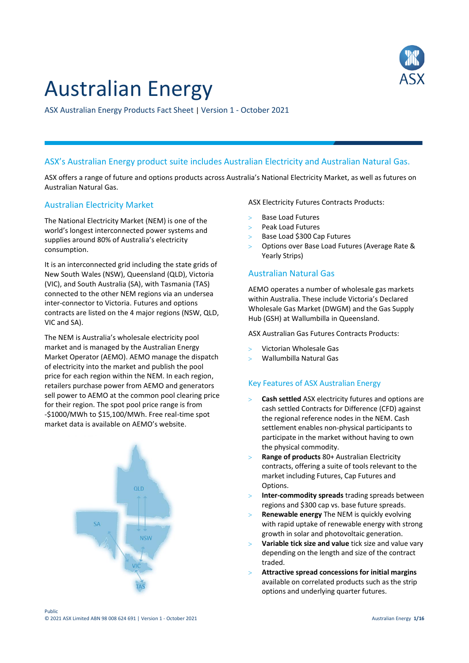

# Australian Energy

ASX Australian Energy Products Fact Sheet | Version 1 - October 2021

# ASX's Australian Energy product suite includes Australian Electricity and Australian Natural Gas.

ASX offers a range of future and options products across Australia's National Electricity Market, as well as futures on Australian Natural Gas.

# Australian Electricity Market

The National Electricity Market (NEM) is one of the world's longest interconnected power systems and supplies around 80% of Australia's electricity consumption.

It is an interconnected grid including the state grids of New South Wales (NSW), Queensland (QLD), Victoria (VIC), and South Australia (SA), with Tasmania (TAS) connected to the other NEM regions via an undersea inter-connector to Victoria. Futures and options contracts are listed on the 4 major regions (NSW, QLD, VIC and SA).

The NEM is Australia's wholesale electricity pool market and is managed by the Australian Energy Market Operator (AEMO). AEMO manage the dispatch of electricity into the market and publish the pool price for each region within the NEM. In each region, retailers purchase power from AEMO and generators sell power to AEMO at the common pool clearing price for their region. The spot pool price range is from -\$1000/MWh to \$15,100/MWh. Free real-time spot market data is available on AEMO's website.



ASX Electricity Futures Contracts Products:

- Base Load Futures
- Peak Load Futures
- Base Load \$300 Cap Futures
- Options over Base Load Futures (Average Rate & Yearly Strips)

# Australian Natural Gas

AEMO operates a number of wholesale gas markets within Australia. These include Victoria's Declared Wholesale Gas Market (DWGM) and the Gas Supply Hub (GSH) at Wallumbilla in Queensland.

ASX Australian Gas Futures Contracts Products:

- Victorian Wholesale Gas
- Wallumbilla Natural Gas

# Key Features of ASX Australian Energy

- **Cash settled** ASX electricity futures and options are cash settled Contracts for Difference (CFD) against the regional reference nodes in the NEM. Cash settlement enables non-physical participants to participate in the market without having to own the physical commodity.
- **Range of products** 80+ Australian Electricity contracts, offering a suite of tools relevant to the market including Futures, Cap Futures and Options.
- **Inter-commodity spreads** trading spreads between regions and \$300 cap vs. base future spreads.
- **Renewable energy** The NEM is quickly evolving with rapid uptake of renewable energy with strong growth in solar and photovoltaic generation.
- **Variable tick size and value** tick size and value vary depending on the length and size of the contract traded.
- **Attractive spread concessions for initial margins** available on correlated products such as the strip options and underlying quarter futures.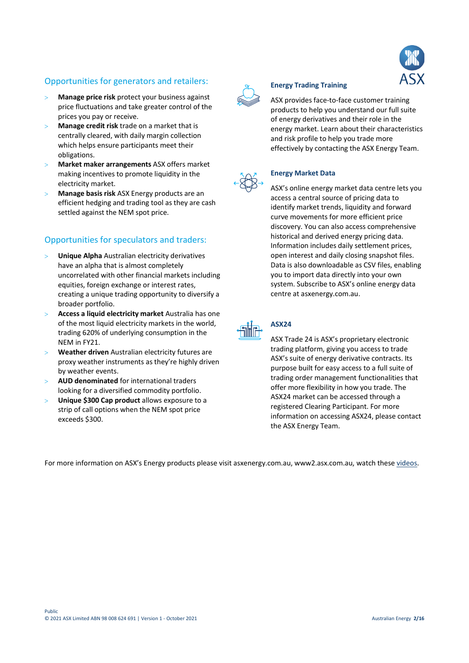# Opportunities for generators and retailers:

- **Manage price risk** protect your business against price fluctuations and take greater control of the prices you pay or receive.
- **Manage credit risk** trade on a market that is centrally cleared, with daily margin collection which helps ensure participants meet their obligations.
- **Market maker arrangements** ASX offers market making incentives to promote liquidity in the electricity market.
- **Manage basis risk** ASX Energy products are an efficient hedging and trading tool as they are cash settled against the NEM spot price.

# Opportunities for speculators and traders:

- **Unique Alpha** Australian electricity derivatives have an alpha that is almost completely uncorrelated with other financial markets including equities, foreign exchange or interest rates, creating a unique trading opportunity to diversify a broader portfolio.
- **Access a liquid electricity market** Australia has one of the most liquid electricity markets in the world, trading 620% of underlying consumption in the NEM in FY21.
- **Weather driven** Australian electricity futures are proxy weather instruments as they're highly driven by weather events.
- **AUD denominated** for international traders looking for a diversified commodity portfolio.
- **Unique \$300 Cap product** allows exposure to a strip of call options when the NEM spot price exceeds \$300.



# **Energy Trading Training**

ASX provides face-to-face customer training products to help you understand our full suite of energy derivatives and their role in the energy market. Learn about their characteristics and risk profile to help you trade more effectively by contacting the ASX Energy Team.



## **Energy Market Data**

ASX's online energy market data centre lets you access a central source of pricing data to identify market trends, liquidity and forward curve movements for more efficient price discovery. You can also access comprehensive historical and derived energy pricing data. Information includes daily settlement prices, open interest and daily closing snapshot files. Data is also downloadable as CSV files, enabling you to import data directly into your own system. Subscribe to ASX's online energy data centre at asxenergy.com.au.



# **ASX24**

ASX Trade 24 is ASX's proprietary electronic trading platform, giving you access to trade ASX's suite of energy derivative contracts. Its purpose built for easy access to a full suite of trading order management functionalities that offer more flexibility in how you trade. The ASX24 market can be accessed through a registered Clearing Participant. For more information on accessing ASX24, please contact the ASX Energy Team.

For more information on ASX's Energy products please visit asxenergy.com.au, www2.asx.com.au, watch thes[e videos.](https://www2.asx.com.au/markets/trade-our-derivatives-market/overview/energy-derivatives)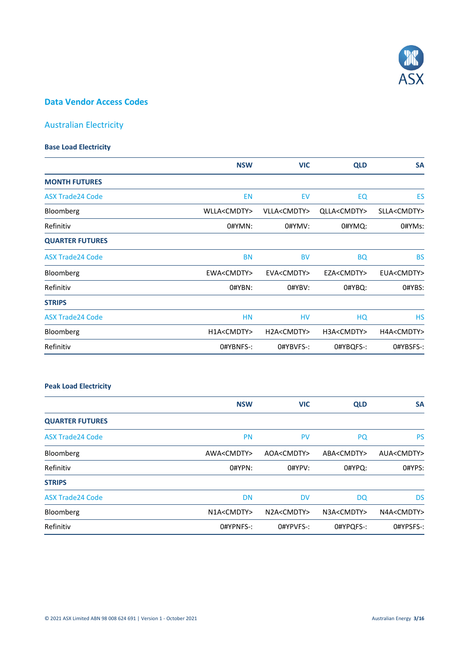

# **Data Vendor Access Codes**

# Australian Electricity

## **Base Load Electricity**

|                         | <b>NSW</b>           | <b>VIC</b>           | <b>QLD</b>           | <b>SA</b>            |
|-------------------------|----------------------|----------------------|----------------------|----------------------|
| <b>MONTH FUTURES</b>    |                      |                      |                      |                      |
| <b>ASX Trade24 Code</b> | <b>EN</b>            | EV                   | EQ                   | ES                   |
| Bloomberg               | WLLA <cmdty></cmdty> | VLLA <cmdty></cmdty> | QLLA <cmdty></cmdty> | SLLA <cmdty></cmdty> |
| Refinitiv               | 0#YMN:               | 0#YMV:               | 0#YMQ:               | 0#YMs:               |
| <b>QUARTER FUTURES</b>  |                      |                      |                      |                      |
| <b>ASX Trade24 Code</b> | <b>BN</b>            | <b>BV</b>            | <b>BQ</b>            | <b>BS</b>            |
| Bloomberg               | EWA <cmdty></cmdty>  | EVA <cmdty></cmdty>  | EZA <cmdty></cmdty>  | EUA <cmdty></cmdty>  |
| Refinitiv               | O#YBN:               | O#YBV:               | 0#YBQ:               | O#YBS:               |
| <b>STRIPS</b>           |                      |                      |                      |                      |
| <b>ASX Trade24 Code</b> | <b>HN</b>            | HV                   | HQ                   | <b>HS</b>            |
| Bloomberg               | H1A <cmdty></cmdty>  | H2A <cmdty></cmdty>  | H3A <cmdty></cmdty>  | H4A <cmdty></cmdty>  |
| Refinitiv               | O#YBNFS-:            | O#YBVFS-:            | 0#YBQFS-:            | O#YBSFS-:            |

# **Peak Load Electricity**

|                         | <b>NSW</b>          | <b>VIC</b>          | <b>QLD</b>          | <b>SA</b>           |
|-------------------------|---------------------|---------------------|---------------------|---------------------|
| <b>QUARTER FUTURES</b>  |                     |                     |                     |                     |
| <b>ASX Trade24 Code</b> | <b>PN</b>           | <b>PV</b>           | <b>PQ</b>           | <b>PS</b>           |
| Bloomberg               | AWA <cmdty></cmdty> | AOA <cmdty></cmdty> | ABA <cmdty></cmdty> | AUA <cmdty></cmdty> |
| Refinitiv               | 0#YPN:              | O#YPV:              | 0#YPQ:              | O#YPS:              |
| <b>STRIPS</b>           |                     |                     |                     |                     |
| <b>ASX Trade24 Code</b> | <b>DN</b>           | <b>DV</b>           | <b>DQ</b>           | <b>DS</b>           |
| Bloomberg               | N1A <cmdty></cmdty> | N2A <cmdty></cmdty> | N3A <cmdty></cmdty> | N4A <cmdty></cmdty> |
| Refinitiv               | O#YPNFS-:           | O#YPVFS-:           | O#YPOFS-:           | O#YPSFS-:           |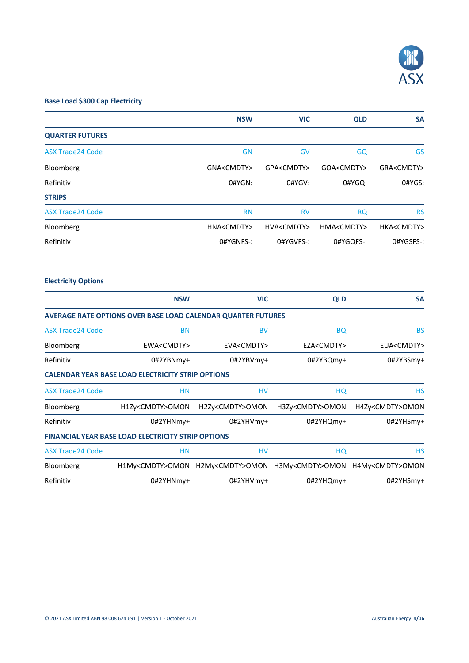

# **Base Load \$300 Cap Electricity**

|                         | <b>NSW</b>          | <b>VIC</b>          | <b>QLD</b>          | <b>SA</b>           |
|-------------------------|---------------------|---------------------|---------------------|---------------------|
| <b>QUARTER FUTURES</b>  |                     |                     |                     |                     |
| <b>ASX Trade24 Code</b> | <b>GN</b>           | GV                  | GQ                  | GS                  |
| Bloomberg               | GNA <cmdty></cmdty> | GPA <cmdty></cmdty> | GOA <cmdty></cmdty> | GRA <cmdty></cmdty> |
| Refinitiv               | 0#YGN:              | 0#YGV:              | 0#YGQ:              | 0#YGS:              |
| <b>STRIPS</b>           |                     |                     |                     |                     |
| <b>ASX Trade24 Code</b> | <b>RN</b>           | <b>RV</b>           | <b>RQ</b>           | <b>RS</b>           |
| Bloomberg               | HNA <cmdty></cmdty> | HVA <cmdty></cmdty> | HMA <cmdty></cmdty> | HKA <cmdty></cmdty> |
| Refinitiv               | O#YGNFS-:           | O#YGVFS-:           | 0#YGQFS-:           | O#YGSFS-:           |

# **Electricity Options**

|                         | <b>NSW</b>                                                          | <b>VIC</b>               | <b>QLD</b>               | <b>SA</b>                |
|-------------------------|---------------------------------------------------------------------|--------------------------|--------------------------|--------------------------|
|                         | <b>AVERAGE RATE OPTIONS OVER BASE LOAD CALENDAR QUARTER FUTURES</b> |                          |                          |                          |
| <b>ASX Trade24 Code</b> | <b>BN</b>                                                           | <b>BV</b>                | <b>BQ</b>                | <b>BS</b>                |
| Bloomberg               | EWA <cmdty></cmdty>                                                 | EVA <cmdty></cmdty>      | EZA <cmdty></cmdty>      | EUA <cmdty></cmdty>      |
| Refinitiv               | 0#2YBNmy+                                                           | 0#2YBVmy+                | 0#2YBQmy+                | 0#2YBSmy+                |
|                         | <b>CALENDAR YEAR BASE LOAD ELECTRICITY STRIP OPTIONS</b>            |                          |                          |                          |
| <b>ASX Trade24 Code</b> | <b>HN</b>                                                           | HV                       | HQ                       | HS                       |
| Bloomberg               | H1Zy <cmdty>OMON</cmdty>                                            | H2Zy <cmdty>OMON</cmdty> | H3Zy <cmdty>OMON</cmdty> | H4Zy <cmdty>OMON</cmdty> |
| Refinitiv               | 0#2YHNmy+                                                           | 0#2YHVmy+                | 0#2YHQmy+                | 0#2YHSmy+                |
|                         | <b>FINANCIAL YEAR BASE LOAD ELECTRICITY STRIP OPTIONS</b>           |                          |                          |                          |
| <b>ASX Trade24 Code</b> | <b>HN</b>                                                           | HV                       | HQ                       | НS                       |
| Bloomberg               | H1My <cmdty>OMON</cmdty>                                            | H2My <cmdty>OMON</cmdty> | H3My <cmdty>OMON</cmdty> | H4My <cmdty>OMON</cmdty> |
| Refinitiv               | 0#2YHNmy+                                                           | 0#2YHVmy+                | 0#2YHQmy+                | 0#2YHSmy+                |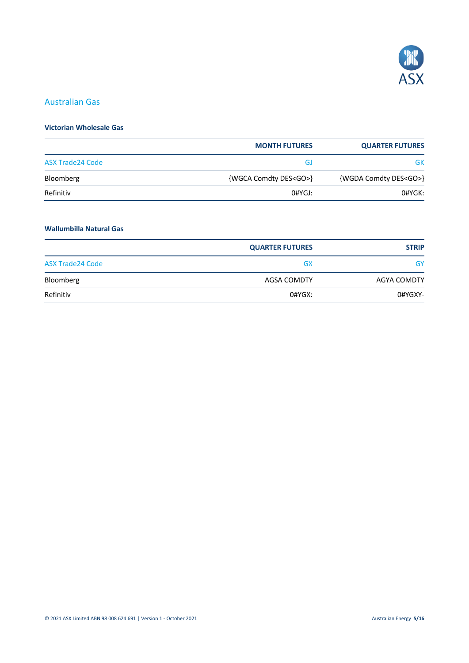

# Australian Gas

# **Victorian Wholesale Gas**

|                         | <b>MONTH FUTURES</b>        | <b>QUARTER FUTURES</b>      |
|-------------------------|-----------------------------|-----------------------------|
| <b>ASX Trade24 Code</b> | GJ                          | GK                          |
| Bloomberg               | {WGCA Comdty DES <go>}</go> | {WGDA Comdty DES <go>}</go> |
| Refinitiv               | 0#YGJ:                      | 0#YGK:                      |

# **Wallumbilla Natural Gas**

|                         | <b>QUARTER FUTURES</b> | <b>STRIP</b>       |
|-------------------------|------------------------|--------------------|
| <b>ASX Trade24 Code</b> | <b>GX</b>              | GY                 |
| Bloomberg               | AGSA COMDTY            | <b>AGYA COMDTY</b> |
| Refinitiv               | 0#YGX:                 | 0#YGXY-            |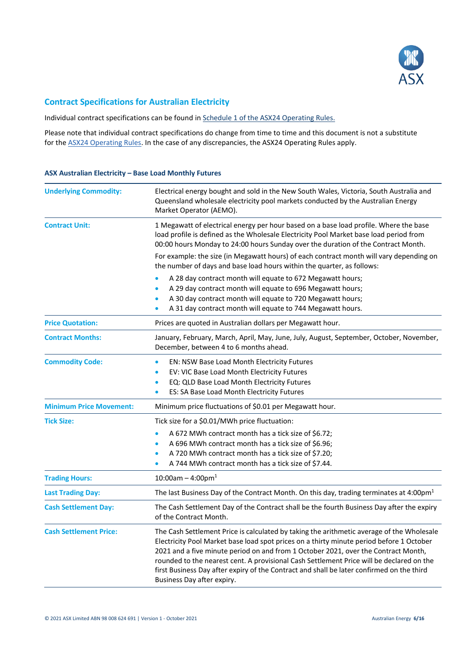

# **Contract Specifications for Australian Electricity**

Individual contract specifications can be found in [Schedule 1 of the ASX24 Operating Rules.](https://www2.asx.com.au/content/dam/asx/rules-guidance-notes-waivers/asx-24-operating-rules/rules/asx-24-operating-rules-schedule.pdf)

Please note that individual contract specifications do change from time to time and this document is not a substitute for th[e ASX24 Operating Rules.](https://www2.asx.com.au/about/regulation/rules-guidance-notes-and-waivers/asx-24-operating-rules-guidance-notes-and-waivers) In the case of any discrepancies, the ASX24 Operating Rules apply.

#### **ASX Australian Electricity – Base Load Monthly Futures**

| <b>Underlying Commodity:</b>                       | Electrical energy bought and sold in the New South Wales, Victoria, South Australia and<br>Queensland wholesale electricity pool markets conducted by the Australian Energy<br>Market Operator (AEMO).                                                                                                                                                                                                                                                                                                                                                                                                                                                                     |  |
|----------------------------------------------------|----------------------------------------------------------------------------------------------------------------------------------------------------------------------------------------------------------------------------------------------------------------------------------------------------------------------------------------------------------------------------------------------------------------------------------------------------------------------------------------------------------------------------------------------------------------------------------------------------------------------------------------------------------------------------|--|
| <b>Contract Unit:</b>                              | 1 Megawatt of electrical energy per hour based on a base load profile. Where the base<br>load profile is defined as the Wholesale Electricity Pool Market base load period from<br>00:00 hours Monday to 24:00 hours Sunday over the duration of the Contract Month.<br>For example: the size (in Megawatt hours) of each contract month will vary depending on<br>the number of days and base load hours within the quarter, as follows:<br>A 28 day contract month will equate to 672 Megawatt hours;<br>$\bullet$<br>A 29 day contract month will equate to 696 Megawatt hours;<br>$\bullet$<br>A 30 day contract month will equate to 720 Megawatt hours;<br>$\bullet$ |  |
|                                                    | A 31 day contract month will equate to 744 Megawatt hours.                                                                                                                                                                                                                                                                                                                                                                                                                                                                                                                                                                                                                 |  |
| <b>Price Quotation:</b><br><b>Contract Months:</b> | Prices are quoted in Australian dollars per Megawatt hour.<br>January, February, March, April, May, June, July, August, September, October, November,<br>December, between 4 to 6 months ahead.                                                                                                                                                                                                                                                                                                                                                                                                                                                                            |  |
| <b>Commodity Code:</b>                             | EN: NSW Base Load Month Electricity Futures<br>$\bullet$<br>EV: VIC Base Load Month Electricity Futures<br>$\bullet$<br>EQ: QLD Base Load Month Electricity Futures<br>$\bullet$<br>ES: SA Base Load Month Electricity Futures                                                                                                                                                                                                                                                                                                                                                                                                                                             |  |
| <b>Minimum Price Movement:</b>                     | Minimum price fluctuations of \$0.01 per Megawatt hour.                                                                                                                                                                                                                                                                                                                                                                                                                                                                                                                                                                                                                    |  |
| <b>Tick Size:</b>                                  | Tick size for a \$0.01/MWh price fluctuation:<br>A 672 MWh contract month has a tick size of \$6.72;<br>$\bullet$<br>A 696 MWh contract month has a tick size of \$6.96;<br>٠<br>A 720 MWh contract month has a tick size of \$7.20;<br>$\bullet$<br>A 744 MWh contract month has a tick size of \$7.44.                                                                                                                                                                                                                                                                                                                                                                   |  |
| <b>Trading Hours:</b>                              | $10:00$ am - 4:00pm <sup>1</sup>                                                                                                                                                                                                                                                                                                                                                                                                                                                                                                                                                                                                                                           |  |
| <b>Last Trading Day:</b>                           | The last Business Day of the Contract Month. On this day, trading terminates at 4:00pm <sup>1</sup>                                                                                                                                                                                                                                                                                                                                                                                                                                                                                                                                                                        |  |
| <b>Cash Settlement Day:</b>                        | The Cash Settlement Day of the Contract shall be the fourth Business Day after the expiry<br>of the Contract Month.                                                                                                                                                                                                                                                                                                                                                                                                                                                                                                                                                        |  |
| <b>Cash Settlement Price:</b>                      | The Cash Settlement Price is calculated by taking the arithmetic average of the Wholesale<br>Electricity Pool Market base load spot prices on a thirty minute period before 1 October<br>2021 and a five minute period on and from 1 October 2021, over the Contract Month,<br>rounded to the nearest cent. A provisional Cash Settlement Price will be declared on the<br>first Business Day after expiry of the Contract and shall be later confirmed on the third<br>Business Day after expiry.                                                                                                                                                                         |  |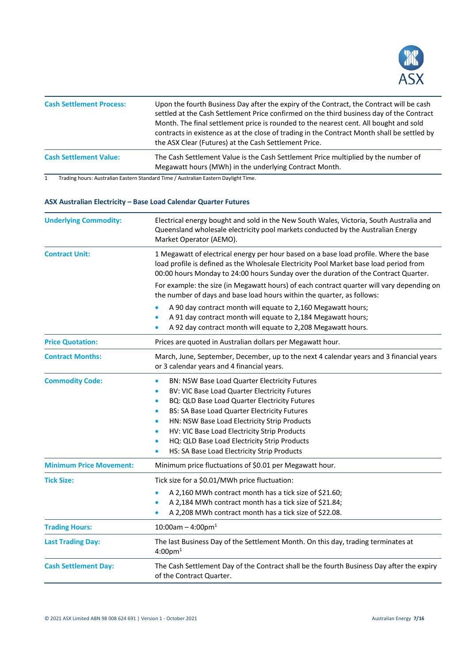

| <b>Cash Settlement Process:</b> | Upon the fourth Business Day after the expiry of the Contract, the Contract will be cash<br>settled at the Cash Settlement Price confirmed on the third business day of the Contract<br>Month. The final settlement price is rounded to the nearest cent. All bought and sold<br>contracts in existence as at the close of trading in the Contract Month shall be settled by<br>the ASX Clear (Futures) at the Cash Settlement Price. |
|---------------------------------|---------------------------------------------------------------------------------------------------------------------------------------------------------------------------------------------------------------------------------------------------------------------------------------------------------------------------------------------------------------------------------------------------------------------------------------|
| <b>Cash Settlement Value:</b>   | The Cash Settlement Value is the Cash Settlement Price multiplied by the number of<br>Megawatt hours (MWh) in the underlying Contract Month.                                                                                                                                                                                                                                                                                          |

## **ASX Australian Electricity – Base Load Calendar Quarter Futures**

| <b>Underlying Commodity:</b>   | Electrical energy bought and sold in the New South Wales, Victoria, South Australia and<br>Queensland wholesale electricity pool markets conducted by the Australian Energy<br>Market Operator (AEMO).                                                                                                                                                                                                                                                                 |  |
|--------------------------------|------------------------------------------------------------------------------------------------------------------------------------------------------------------------------------------------------------------------------------------------------------------------------------------------------------------------------------------------------------------------------------------------------------------------------------------------------------------------|--|
| <b>Contract Unit:</b>          | 1 Megawatt of electrical energy per hour based on a base load profile. Where the base<br>load profile is defined as the Wholesale Electricity Pool Market base load period from<br>00:00 hours Monday to 24:00 hours Sunday over the duration of the Contract Quarter.                                                                                                                                                                                                 |  |
|                                | For example: the size (in Megawatt hours) of each contract quarter will vary depending on<br>the number of days and base load hours within the quarter, as follows:                                                                                                                                                                                                                                                                                                    |  |
|                                | A 90 day contract month will equate to 2,160 Megawatt hours;<br>A 91 day contract month will equate to 2,184 Megawatt hours;<br>A 92 day contract month will equate to 2,208 Megawatt hours.                                                                                                                                                                                                                                                                           |  |
| <b>Price Quotation:</b>        | Prices are quoted in Australian dollars per Megawatt hour.                                                                                                                                                                                                                                                                                                                                                                                                             |  |
| <b>Contract Months:</b>        | March, June, September, December, up to the next 4 calendar years and 3 financial years<br>or 3 calendar years and 4 financial years.                                                                                                                                                                                                                                                                                                                                  |  |
| <b>Commodity Code:</b>         | BN: NSW Base Load Quarter Electricity Futures<br>BV: VIC Base Load Quarter Electricity Futures<br>BQ: QLD Base Load Quarter Electricity Futures<br>$\bullet$<br><b>BS: SA Base Load Quarter Electricity Futures</b><br>$\bullet$<br>HN: NSW Base Load Electricity Strip Products<br>$\bullet$<br>HV: VIC Base Load Electricity Strip Products<br>$\bullet$<br>HQ: QLD Base Load Electricity Strip Products<br>HS: SA Base Load Electricity Strip Products<br>$\bullet$ |  |
| <b>Minimum Price Movement:</b> | Minimum price fluctuations of \$0.01 per Megawatt hour.                                                                                                                                                                                                                                                                                                                                                                                                                |  |
| <b>Tick Size:</b>              | Tick size for a \$0.01/MWh price fluctuation:<br>A 2,160 MWh contract month has a tick size of \$21.60;<br>A 2,184 MWh contract month has a tick size of \$21.84;<br>A 2,208 MWh contract month has a tick size of \$22.08.                                                                                                                                                                                                                                            |  |
| <b>Trading Hours:</b>          | $10:00$ am - 4:00pm <sup>1</sup>                                                                                                                                                                                                                                                                                                                                                                                                                                       |  |
| <b>Last Trading Day:</b>       | The last Business Day of the Settlement Month. On this day, trading terminates at<br>$4:00 \text{pm}^1$                                                                                                                                                                                                                                                                                                                                                                |  |
| <b>Cash Settlement Day:</b>    | The Cash Settlement Day of the Contract shall be the fourth Business Day after the expiry<br>of the Contract Quarter.                                                                                                                                                                                                                                                                                                                                                  |  |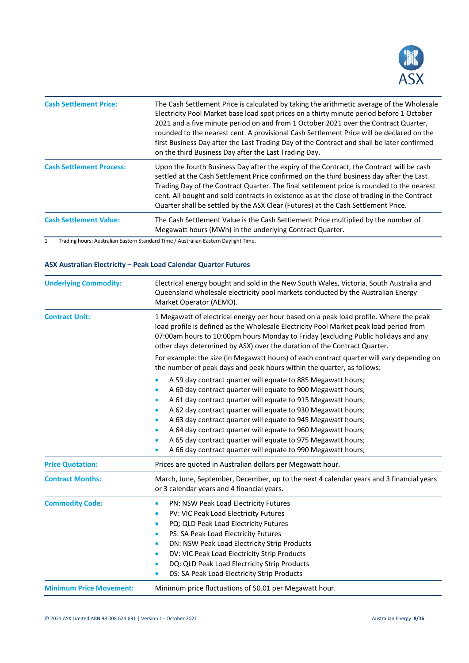

| <b>Cash Settlement Price:</b>   | The Cash Settlement Price is calculated by taking the arithmetic average of the Wholesale<br>Electricity Pool Market base load spot prices on a thirty minute period before 1 October<br>2021 and a five minute period on and from 1 October 2021 over the Contract Quarter,<br>rounded to the nearest cent. A provisional Cash Settlement Price will be declared on the<br>first Business Day after the Last Trading Day of the Contract and shall be later confirmed<br>on the third Business Day after the Last Trading Day. |
|---------------------------------|---------------------------------------------------------------------------------------------------------------------------------------------------------------------------------------------------------------------------------------------------------------------------------------------------------------------------------------------------------------------------------------------------------------------------------------------------------------------------------------------------------------------------------|
| <b>Cash Settlement Process:</b> | Upon the fourth Business Day after the expiry of the Contract, the Contract will be cash<br>settled at the Cash Settlement Price confirmed on the third business day after the Last<br>Trading Day of the Contract Quarter. The final settlement price is rounded to the nearest<br>cent. All bought and sold contracts in existence as at the close of trading in the Contract<br>Quarter shall be settled by the ASX Clear (Futures) at the Cash Settlement Price.                                                            |
| <b>Cash Settlement Value:</b>   | The Cash Settlement Value is the Cash Settlement Price multiplied by the number of<br>Megawatt hours (MWh) in the underlying Contract Quarter.                                                                                                                                                                                                                                                                                                                                                                                  |

# **ASX Australian Electricity – Peak Load Calendar Quarter Futures**

| <b>Underlying Commodity:</b>   | Electrical energy bought and sold in the New South Wales, Victoria, South Australia and<br>Queensland wholesale electricity pool markets conducted by the Australian Energy<br>Market Operator (AEMO).                                                                                                                                                                                                                                                                                                                                                                                                                    |  |  |
|--------------------------------|---------------------------------------------------------------------------------------------------------------------------------------------------------------------------------------------------------------------------------------------------------------------------------------------------------------------------------------------------------------------------------------------------------------------------------------------------------------------------------------------------------------------------------------------------------------------------------------------------------------------------|--|--|
| <b>Contract Unit:</b>          | 1 Megawatt of electrical energy per hour based on a peak load profile. Where the peak<br>load profile is defined as the Wholesale Electricity Pool Market peak load period from<br>07:00am hours to 10:00pm hours Monday to Friday (excluding Public holidays and any<br>other days determined by ASX) over the duration of the Contract Quarter.                                                                                                                                                                                                                                                                         |  |  |
|                                | For example: the size (in Megawatt hours) of each contract quarter will vary depending on<br>the number of peak days and peak hours within the quarter, as follows:                                                                                                                                                                                                                                                                                                                                                                                                                                                       |  |  |
| <b>Price Quotation:</b>        | A 59 day contract quarter will equate to 885 Megawatt hours;<br>A 60 day contract quarter will equate to 900 Megawatt hours;<br>A 61 day contract quarter will equate to 915 Megawatt hours;<br>A 62 day contract quarter will equate to 930 Megawatt hours;<br>$\bullet$<br>A 63 day contract quarter will equate to 945 Megawatt hours;<br>٠<br>A 64 day contract quarter will equate to 960 Megawatt hours;<br>$\bullet$<br>A 65 day contract quarter will equate to 975 Megawatt hours;<br>A 66 day contract quarter will equate to 990 Megawatt hours;<br>Prices are quoted in Australian dollars per Megawatt hour. |  |  |
| <b>Contract Months:</b>        | March, June, September, December, up to the next 4 calendar years and 3 financial years<br>or 3 calendar years and 4 financial years.                                                                                                                                                                                                                                                                                                                                                                                                                                                                                     |  |  |
| <b>Commodity Code:</b>         | PN: NSW Peak Load Electricity Futures<br>$\bullet$<br>PV: VIC Peak Load Electricity Futures<br>٠<br>PQ: QLD Peak Load Electricity Futures<br>$\bullet$<br>PS: SA Peak Load Electricity Futures<br>$\bullet$<br>DN: NSW Peak Load Electricity Strip Products<br>٠<br>DV: VIC Peak Load Electricity Strip Products<br>$\bullet$<br>DQ: QLD Peak Load Electricity Strip Products<br>$\bullet$<br>DS: SA Peak Load Electricity Strip Products<br>$\bullet$                                                                                                                                                                    |  |  |
| <b>Minimum Price Movement:</b> | Minimum price fluctuations of \$0.01 per Megawatt hour.                                                                                                                                                                                                                                                                                                                                                                                                                                                                                                                                                                   |  |  |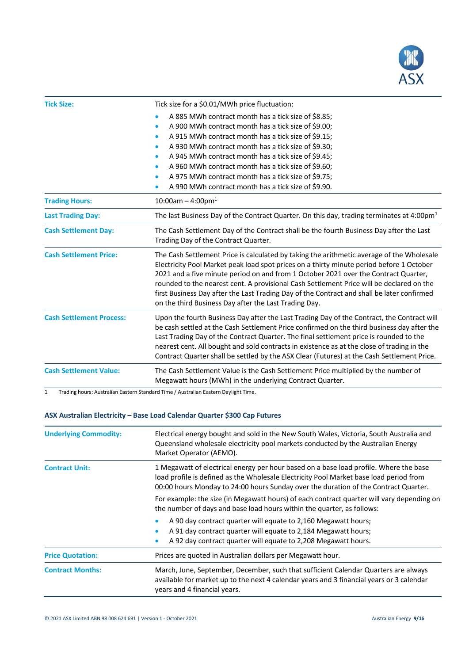

| <b>Tick Size:</b>               | Tick size for a \$0.01/MWh price fluctuation:                                                                                                                                                                                                                                                                                                                                                                                                                                                                                   |  |
|---------------------------------|---------------------------------------------------------------------------------------------------------------------------------------------------------------------------------------------------------------------------------------------------------------------------------------------------------------------------------------------------------------------------------------------------------------------------------------------------------------------------------------------------------------------------------|--|
|                                 | A 885 MWh contract month has a tick size of \$8.85;<br>A 900 MWh contract month has a tick size of \$9.00;<br>$\bullet$<br>A 915 MWh contract month has a tick size of \$9.15;<br>$\bullet$<br>A 930 MWh contract month has a tick size of \$9.30;<br>A 945 MWh contract month has a tick size of \$9.45;<br>$\bullet$<br>A 960 MWh contract month has a tick size of \$9.60;<br>$\bullet$<br>A 975 MWh contract month has a tick size of \$9.75;<br>$\bullet$<br>A 990 MWh contract month has a tick size of \$9.90.           |  |
| <b>Trading Hours:</b>           | $10:00$ am - 4:00pm <sup>1</sup>                                                                                                                                                                                                                                                                                                                                                                                                                                                                                                |  |
| <b>Last Trading Day:</b>        | The last Business Day of the Contract Quarter. On this day, trading terminates at 4:00pm <sup>1</sup>                                                                                                                                                                                                                                                                                                                                                                                                                           |  |
| <b>Cash Settlement Day:</b>     | The Cash Settlement Day of the Contract shall be the fourth Business Day after the Last<br>Trading Day of the Contract Quarter.                                                                                                                                                                                                                                                                                                                                                                                                 |  |
| <b>Cash Settlement Price:</b>   | The Cash Settlement Price is calculated by taking the arithmetic average of the Wholesale<br>Electricity Pool Market peak load spot prices on a thirty minute period before 1 October<br>2021 and a five minute period on and from 1 October 2021 over the Contract Quarter,<br>rounded to the nearest cent. A provisional Cash Settlement Price will be declared on the<br>first Business Day after the Last Trading Day of the Contract and shall be later confirmed<br>on the third Business Day after the Last Trading Day. |  |
| <b>Cash Settlement Process:</b> | Upon the fourth Business Day after the Last Trading Day of the Contract, the Contract will<br>be cash settled at the Cash Settlement Price confirmed on the third business day after the<br>Last Trading Day of the Contract Quarter. The final settlement price is rounded to the<br>nearest cent. All bought and sold contracts in existence as at the close of trading in the<br>Contract Quarter shall be settled by the ASX Clear (Futures) at the Cash Settlement Price.                                                  |  |
| <b>Cash Settlement Value:</b>   | The Cash Settlement Value is the Cash Settlement Price multiplied by the number of<br>Megawatt hours (MWh) in the underlying Contract Quarter.                                                                                                                                                                                                                                                                                                                                                                                  |  |

# **ASX Australian Electricity – Base Load Calendar Quarter \$300 Cap Futures**

| <b>Underlying Commodity:</b> | Electrical energy bought and sold in the New South Wales, Victoria, South Australia and<br>Queensland wholesale electricity pool markets conducted by the Australian Energy<br>Market Operator (AEMO).                                                                 |
|------------------------------|------------------------------------------------------------------------------------------------------------------------------------------------------------------------------------------------------------------------------------------------------------------------|
| <b>Contract Unit:</b>        | 1 Megawatt of electrical energy per hour based on a base load profile. Where the base<br>load profile is defined as the Wholesale Electricity Pool Market base load period from<br>00:00 hours Monday to 24:00 hours Sunday over the duration of the Contract Quarter. |
|                              | For example: the size (in Megawatt hours) of each contract quarter will vary depending on<br>the number of days and base load hours within the quarter, as follows:                                                                                                    |
|                              | A 90 day contract quarter will equate to 2,160 Megawatt hours;<br>A 91 day contract quarter will equate to 2,184 Megawatt hours;<br>A 92 day contract quarter will equate to 2,208 Megawatt hours.                                                                     |
| <b>Price Quotation:</b>      | Prices are quoted in Australian dollars per Megawatt hour.                                                                                                                                                                                                             |
| <b>Contract Months:</b>      | March, June, September, December, such that sufficient Calendar Quarters are always<br>available for market up to the next 4 calendar years and 3 financial years or 3 calendar<br>years and 4 financial years.                                                        |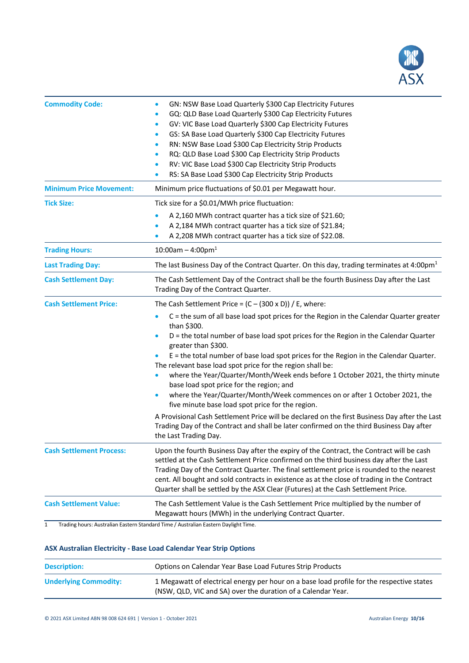

| <b>Commodity Code:</b>          | GN: NSW Base Load Quarterly \$300 Cap Electricity Futures<br>GQ: QLD Base Load Quarterly \$300 Cap Electricity Futures<br>$\bullet$<br>GV: VIC Base Load Quarterly \$300 Cap Electricity Futures<br>$\bullet$<br>GS: SA Base Load Quarterly \$300 Cap Electricity Futures<br>$\bullet$<br>RN: NSW Base Load \$300 Cap Electricity Strip Products<br>۰<br>RQ: QLD Base Load \$300 Cap Electricity Strip Products<br>$\bullet$<br>RV: VIC Base Load \$300 Cap Electricity Strip Products<br>$\bullet$<br>RS: SA Base Load \$300 Cap Electricity Strip Products                                                                                                                                                                                                                                                                                                                                                                           |
|---------------------------------|----------------------------------------------------------------------------------------------------------------------------------------------------------------------------------------------------------------------------------------------------------------------------------------------------------------------------------------------------------------------------------------------------------------------------------------------------------------------------------------------------------------------------------------------------------------------------------------------------------------------------------------------------------------------------------------------------------------------------------------------------------------------------------------------------------------------------------------------------------------------------------------------------------------------------------------|
| <b>Minimum Price Movement:</b>  | Minimum price fluctuations of \$0.01 per Megawatt hour.                                                                                                                                                                                                                                                                                                                                                                                                                                                                                                                                                                                                                                                                                                                                                                                                                                                                                |
| <b>Tick Size:</b>               | Tick size for a \$0.01/MWh price fluctuation:<br>A 2,160 MWh contract quarter has a tick size of \$21.60;<br>A 2,184 MWh contract quarter has a tick size of \$21.84;<br>A 2,208 MWh contract quarter has a tick size of \$22.08.                                                                                                                                                                                                                                                                                                                                                                                                                                                                                                                                                                                                                                                                                                      |
| <b>Trading Hours:</b>           | $10:00$ am - 4:00pm <sup>1</sup>                                                                                                                                                                                                                                                                                                                                                                                                                                                                                                                                                                                                                                                                                                                                                                                                                                                                                                       |
| <b>Last Trading Day:</b>        | The last Business Day of the Contract Quarter. On this day, trading terminates at 4:00pm <sup>1</sup>                                                                                                                                                                                                                                                                                                                                                                                                                                                                                                                                                                                                                                                                                                                                                                                                                                  |
| <b>Cash Settlement Day:</b>     | The Cash Settlement Day of the Contract shall be the fourth Business Day after the Last<br>Trading Day of the Contract Quarter.                                                                                                                                                                                                                                                                                                                                                                                                                                                                                                                                                                                                                                                                                                                                                                                                        |
| <b>Cash Settlement Price:</b>   | The Cash Settlement Price = $(C - (300 \times D))$ / E, where:<br>C = the sum of all base load spot prices for the Region in the Calendar Quarter greater<br>than \$300.<br>D = the total number of base load spot prices for the Region in the Calendar Quarter<br>greater than \$300.<br>E = the total number of base load spot prices for the Region in the Calendar Quarter.<br>The relevant base load spot price for the region shall be:<br>where the Year/Quarter/Month/Week ends before 1 October 2021, the thirty minute<br>base load spot price for the region; and<br>where the Year/Quarter/Month/Week commences on or after 1 October 2021, the<br>five minute base load spot price for the region.<br>A Provisional Cash Settlement Price will be declared on the first Business Day after the Last<br>Trading Day of the Contract and shall be later confirmed on the third Business Day after<br>the Last Trading Day. |
| <b>Cash Settlement Process:</b> | Upon the fourth Business Day after the expiry of the Contract, the Contract will be cash<br>settled at the Cash Settlement Price confirmed on the third business day after the Last<br>Trading Day of the Contract Quarter. The final settlement price is rounded to the nearest<br>cent. All bought and sold contracts in existence as at the close of trading in the Contract<br>Quarter shall be settled by the ASX Clear (Futures) at the Cash Settlement Price.                                                                                                                                                                                                                                                                                                                                                                                                                                                                   |
| <b>Cash Settlement Value:</b>   | The Cash Settlement Value is the Cash Settlement Price multiplied by the number of<br>Megawatt hours (MWh) in the underlying Contract Quarter.                                                                                                                                                                                                                                                                                                                                                                                                                                                                                                                                                                                                                                                                                                                                                                                         |

## **ASX Australian Electricity - Base Load Calendar Year Strip Options**

| <b>Description:</b>          | Options on Calendar Year Base Load Futures Strip Products                                                                                                 |
|------------------------------|-----------------------------------------------------------------------------------------------------------------------------------------------------------|
| <b>Underlying Commodity:</b> | 1 Megawatt of electrical energy per hour on a base load profile for the respective states<br>(NSW, QLD, VIC and SA) over the duration of a Calendar Year. |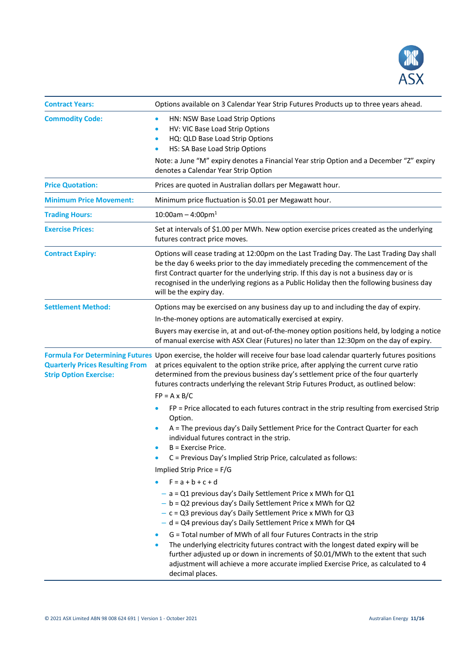

| <b>Contract Years:</b>                                                  | Options available on 3 Calendar Year Strip Futures Products up to three years ahead.                                                                                                                                                                                                                                                                                                                                                                                                                                                                                                                                                                                  |
|-------------------------------------------------------------------------|-----------------------------------------------------------------------------------------------------------------------------------------------------------------------------------------------------------------------------------------------------------------------------------------------------------------------------------------------------------------------------------------------------------------------------------------------------------------------------------------------------------------------------------------------------------------------------------------------------------------------------------------------------------------------|
| <b>Commodity Code:</b>                                                  | HN: NSW Base Load Strip Options<br>$\bullet$<br>HV: VIC Base Load Strip Options<br>$\bullet$<br>HQ: QLD Base Load Strip Options<br>$\bullet$<br>HS: SA Base Load Strip Options<br>$\bullet$<br>Note: a June "M" expiry denotes a Financial Year strip Option and a December "Z" expiry<br>denotes a Calendar Year Strip Option                                                                                                                                                                                                                                                                                                                                        |
| <b>Price Quotation:</b>                                                 | Prices are quoted in Australian dollars per Megawatt hour.                                                                                                                                                                                                                                                                                                                                                                                                                                                                                                                                                                                                            |
| <b>Minimum Price Movement:</b>                                          | Minimum price fluctuation is \$0.01 per Megawatt hour.                                                                                                                                                                                                                                                                                                                                                                                                                                                                                                                                                                                                                |
| <b>Trading Hours:</b>                                                   | $10:00$ am - 4:00pm <sup>1</sup>                                                                                                                                                                                                                                                                                                                                                                                                                                                                                                                                                                                                                                      |
| <b>Exercise Prices:</b>                                                 | Set at intervals of \$1.00 per MWh. New option exercise prices created as the underlying<br>futures contract price moves.                                                                                                                                                                                                                                                                                                                                                                                                                                                                                                                                             |
| <b>Contract Expiry:</b>                                                 | Options will cease trading at 12:00pm on the Last Trading Day. The Last Trading Day shall<br>be the day 6 weeks prior to the day immediately preceding the commencement of the<br>first Contract quarter for the underlying strip. If this day is not a business day or is<br>recognised in the underlying regions as a Public Holiday then the following business day<br>will be the expiry day.                                                                                                                                                                                                                                                                     |
| <b>Settlement Method:</b>                                               | Options may be exercised on any business day up to and including the day of expiry.                                                                                                                                                                                                                                                                                                                                                                                                                                                                                                                                                                                   |
|                                                                         | In-the-money options are automatically exercised at expiry.                                                                                                                                                                                                                                                                                                                                                                                                                                                                                                                                                                                                           |
|                                                                         | Buyers may exercise in, at and out-of-the-money option positions held, by lodging a notice<br>of manual exercise with ASX Clear (Futures) no later than 12:30pm on the day of expiry.                                                                                                                                                                                                                                                                                                                                                                                                                                                                                 |
| <b>Quarterly Prices Resulting From</b><br><b>Strip Option Exercise:</b> | Formula For Determining Futures Upon exercise, the holder will receive four base load calendar quarterly futures positions<br>at prices equivalent to the option strike price, after applying the current curve ratio<br>determined from the previous business day's settlement price of the four quarterly<br>futures contracts underlying the relevant Strip Futures Product, as outlined below:<br>$FP = A \times B/C$                                                                                                                                                                                                                                             |
|                                                                         | FP = Price allocated to each futures contract in the strip resulting from exercised Strip<br>Option.<br>A = The previous day's Daily Settlement Price for the Contract Quarter for each<br>$\bullet$<br>individual futures contract in the strip.<br>B = Exercise Price.<br>C = Previous Day's Implied Strip Price, calculated as follows:                                                                                                                                                                                                                                                                                                                            |
|                                                                         | Implied Strip Price = F/G                                                                                                                                                                                                                                                                                                                                                                                                                                                                                                                                                                                                                                             |
|                                                                         | $F = a + b + c + d$<br>$-$ a = Q1 previous day's Daily Settlement Price x MWh for Q1<br>$- b = Q2$ previous day's Daily Settlement Price x MWh for Q2<br>$-c = Q3$ previous day's Daily Settlement Price x MWh for Q3<br>- d = Q4 previous day's Daily Settlement Price x MWh for Q4<br>G = Total number of MWh of all four Futures Contracts in the strip<br>$\bullet$<br>The underlying electricity futures contract with the longest dated expiry will be<br>$\bullet$<br>further adjusted up or down in increments of \$0.01/MWh to the extent that such<br>adjustment will achieve a more accurate implied Exercise Price, as calculated to 4<br>decimal places. |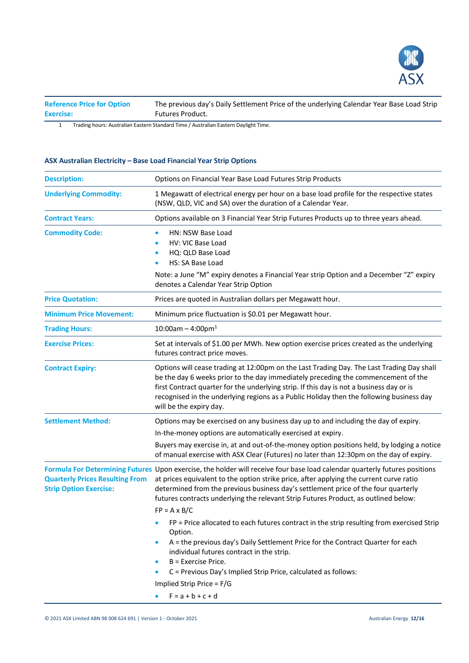

| <b>Reference Price for Option</b> | The previous day's Daily Settlement Price of the underlying Calendar Year Base Load Strip |
|-----------------------------------|-------------------------------------------------------------------------------------------|
| <b>Exercise:</b>                  | Futures Product.                                                                          |

# **ASX Australian Electricity – Base Load Financial Year Strip Options**

| <b>Description:</b>                                                     | Options on Financial Year Base Load Futures Strip Products                                                                                                                                                                                                                                                                                                                                                                |
|-------------------------------------------------------------------------|---------------------------------------------------------------------------------------------------------------------------------------------------------------------------------------------------------------------------------------------------------------------------------------------------------------------------------------------------------------------------------------------------------------------------|
| <b>Underlying Commodity:</b>                                            | 1 Megawatt of electrical energy per hour on a base load profile for the respective states<br>(NSW, QLD, VIC and SA) over the duration of a Calendar Year.                                                                                                                                                                                                                                                                 |
| <b>Contract Years:</b>                                                  | Options available on 3 Financial Year Strip Futures Products up to three years ahead.                                                                                                                                                                                                                                                                                                                                     |
| <b>Commodity Code:</b>                                                  | HN: NSW Base Load<br>HV: VIC Base Load<br>HQ: QLD Base Load<br>HS: SA Base Load<br>Note: a June "M" expiry denotes a Financial Year strip Option and a December "Z" expiry<br>denotes a Calendar Year Strip Option                                                                                                                                                                                                        |
| <b>Price Quotation:</b>                                                 | Prices are quoted in Australian dollars per Megawatt hour.                                                                                                                                                                                                                                                                                                                                                                |
| <b>Minimum Price Movement:</b>                                          | Minimum price fluctuation is \$0.01 per Megawatt hour.                                                                                                                                                                                                                                                                                                                                                                    |
| <b>Trading Hours:</b>                                                   | $10:00$ am - 4:00pm <sup>1</sup>                                                                                                                                                                                                                                                                                                                                                                                          |
| <b>Exercise Prices:</b>                                                 | Set at intervals of \$1.00 per MWh. New option exercise prices created as the underlying<br>futures contract price moves.                                                                                                                                                                                                                                                                                                 |
| <b>Contract Expiry:</b>                                                 | Options will cease trading at 12:00pm on the Last Trading Day. The Last Trading Day shall<br>be the day 6 weeks prior to the day immediately preceding the commencement of the<br>first Contract quarter for the underlying strip. If this day is not a business day or is<br>recognised in the underlying regions as a Public Holiday then the following business day<br>will be the expiry day.                         |
| <b>Settlement Method:</b>                                               | Options may be exercised on any business day up to and including the day of expiry.                                                                                                                                                                                                                                                                                                                                       |
|                                                                         | In-the-money options are automatically exercised at expiry.                                                                                                                                                                                                                                                                                                                                                               |
|                                                                         | Buyers may exercise in, at and out-of-the-money option positions held, by lodging a notice<br>of manual exercise with ASX Clear (Futures) no later than 12:30pm on the day of expiry.                                                                                                                                                                                                                                     |
| <b>Quarterly Prices Resulting From</b><br><b>Strip Option Exercise:</b> | Formula For Determining Futures Upon exercise, the holder will receive four base load calendar quarterly futures positions<br>at prices equivalent to the option strike price, after applying the current curve ratio<br>determined from the previous business day's settlement price of the four quarterly<br>futures contracts underlying the relevant Strip Futures Product, as outlined below:<br>$FP = A \times B/C$ |
|                                                                         | $FP$ = Price allocated to each futures contract in the strip resulting from exercised Strip<br>Option.                                                                                                                                                                                                                                                                                                                    |
|                                                                         | A = the previous day's Daily Settlement Price for the Contract Quarter for each<br>$\bullet$<br>individual futures contract in the strip.<br>B = Exercise Price.                                                                                                                                                                                                                                                          |
|                                                                         | $\bullet$<br>C = Previous Day's Implied Strip Price, calculated as follows:<br>$\bullet$                                                                                                                                                                                                                                                                                                                                  |
|                                                                         | Implied Strip Price = F/G                                                                                                                                                                                                                                                                                                                                                                                                 |
|                                                                         | $F = a + b + c + d$                                                                                                                                                                                                                                                                                                                                                                                                       |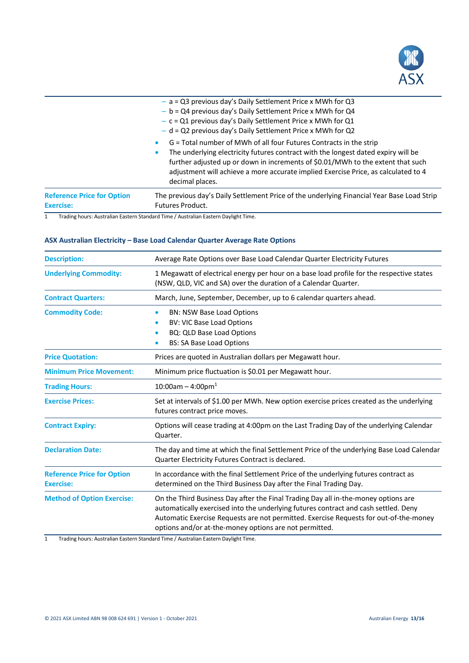

|                                   | G = Total number of MWh of all four Futures Contracts in the strip<br>$\bullet$<br>The underlying electricity futures contract with the longest dated expiry will be<br>۰                |
|-----------------------------------|------------------------------------------------------------------------------------------------------------------------------------------------------------------------------------------|
|                                   | further adjusted up or down in increments of \$0.01/MWh to the extent that such<br>adjustment will achieve a more accurate implied Exercise Price, as calculated to 4<br>decimal places. |
| <b>Reference Price for Option</b> | The previous day's Daily Settlement Price of the underlying Financial Year Base Load Strip                                                                                               |
| <b>Exercise:</b>                  | <b>Futures Product.</b>                                                                                                                                                                  |

# **ASX Australian Electricity – Base Load Calendar Quarter Average Rate Options**

| <b>Description:</b>                                   | Average Rate Options over Base Load Calendar Quarter Electricity Futures                                                                                                                                                                                                                                                     |
|-------------------------------------------------------|------------------------------------------------------------------------------------------------------------------------------------------------------------------------------------------------------------------------------------------------------------------------------------------------------------------------------|
| <b>Underlying Commodity:</b>                          | 1 Megawatt of electrical energy per hour on a base load profile for the respective states<br>(NSW, QLD, VIC and SA) over the duration of a Calendar Quarter.                                                                                                                                                                 |
| <b>Contract Quarters:</b>                             | March, June, September, December, up to 6 calendar quarters ahead.                                                                                                                                                                                                                                                           |
| <b>Commodity Code:</b>                                | <b>BN: NSW Base Load Options</b><br><b>BV: VIC Base Load Options</b><br>٠<br>BQ: QLD Base Load Options<br>٠<br><b>BS: SA Base Load Options</b>                                                                                                                                                                               |
| <b>Price Quotation:</b>                               | Prices are quoted in Australian dollars per Megawatt hour.                                                                                                                                                                                                                                                                   |
| <b>Minimum Price Movement:</b>                        | Minimum price fluctuation is \$0.01 per Megawatt hour.                                                                                                                                                                                                                                                                       |
| <b>Trading Hours:</b>                                 | $10:00$ am - 4:00pm <sup>1</sup>                                                                                                                                                                                                                                                                                             |
| <b>Exercise Prices:</b>                               | Set at intervals of \$1.00 per MWh. New option exercise prices created as the underlying<br>futures contract price moves.                                                                                                                                                                                                    |
| <b>Contract Expiry:</b>                               | Options will cease trading at 4:00pm on the Last Trading Day of the underlying Calendar<br>Quarter.                                                                                                                                                                                                                          |
| <b>Declaration Date:</b>                              | The day and time at which the final Settlement Price of the underlying Base Load Calendar<br>Quarter Electricity Futures Contract is declared.                                                                                                                                                                               |
| <b>Reference Price for Option</b><br><b>Exercise:</b> | In accordance with the final Settlement Price of the underlying futures contract as<br>determined on the Third Business Day after the Final Trading Day.                                                                                                                                                                     |
| <b>Method of Option Exercise:</b>                     | On the Third Business Day after the Final Trading Day all in-the-money options are<br>automatically exercised into the underlying futures contract and cash settled. Deny<br>Automatic Exercise Requests are not permitted. Exercise Requests for out-of-the-money<br>options and/or at-the-money options are not permitted. |

1 Trading hours: Australian Eastern Standard Time / Australian Eastern Daylight Time.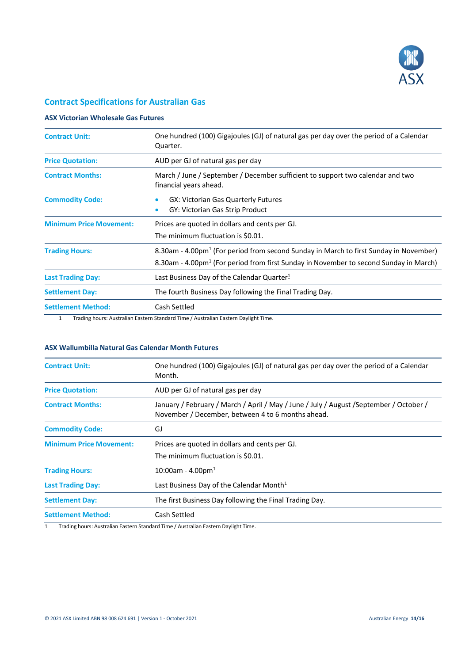

# **Contract Specifications for Australian Gas**

# **ASX Victorian Wholesale Gas Futures**

| <b>Contract Unit:</b>          | One hundred (100) Gigajoules (GJ) of natural gas per day over the period of a Calendar<br>Quarter.                                                                                                     |
|--------------------------------|--------------------------------------------------------------------------------------------------------------------------------------------------------------------------------------------------------|
| <b>Price Quotation:</b>        | AUD per GJ of natural gas per day                                                                                                                                                                      |
| <b>Contract Months:</b>        | March / June / September / December sufficient to support two calendar and two<br>financial years ahead.                                                                                               |
| <b>Commodity Code:</b>         | <b>GX: Victorian Gas Quarterly Futures</b><br>GY: Victorian Gas Strip Product<br>$\bullet$                                                                                                             |
| <b>Minimum Price Movement:</b> | Prices are quoted in dollars and cents per GJ.<br>The minimum fluctuation is \$0.01.                                                                                                                   |
| <b>Trading Hours:</b>          | 8.30am - 4.00pm <sup>1</sup> (For period from second Sunday in March to first Sunday in November)<br>8.30am - 4.00pm <sup>1</sup> (For period from first Sunday in November to second Sunday in March) |
| <b>Last Trading Day:</b>       | Last Business Day of the Calendar Quarter <sup>1</sup>                                                                                                                                                 |
| <b>Settlement Day:</b>         | The fourth Business Day following the Final Trading Day.                                                                                                                                               |
| <b>Settlement Method:</b>      | Cash Settled                                                                                                                                                                                           |

1 Trading hours: Australian Eastern Standard Time / Australian Eastern Daylight Time.

# **ASX Wallumbilla Natural Gas Calendar Month Futures**

| <b>Contract Unit:</b>          | One hundred (100) Gigajoules (GJ) of natural gas per day over the period of a Calendar<br>Month.                                            |
|--------------------------------|---------------------------------------------------------------------------------------------------------------------------------------------|
| <b>Price Quotation:</b>        | AUD per GJ of natural gas per day                                                                                                           |
| <b>Contract Months:</b>        | January / February / March / April / May / June / July / August /September / October /<br>November / December, between 4 to 6 months ahead. |
| <b>Commodity Code:</b>         | GJ                                                                                                                                          |
| <b>Minimum Price Movement:</b> | Prices are quoted in dollars and cents per GJ.<br>The minimum fluctuation is \$0.01.                                                        |
| <b>Trading Hours:</b>          | $10:00$ am - 4.00pm <sup>1</sup>                                                                                                            |
| <b>Last Trading Day:</b>       | Last Business Day of the Calendar Month $1$                                                                                                 |
| <b>Settlement Day:</b>         | The first Business Day following the Final Trading Day.                                                                                     |
| <b>Settlement Method:</b>      | Cash Settled                                                                                                                                |

1 Trading hours: Australian Eastern Standard Time / Australian Eastern Daylight Time.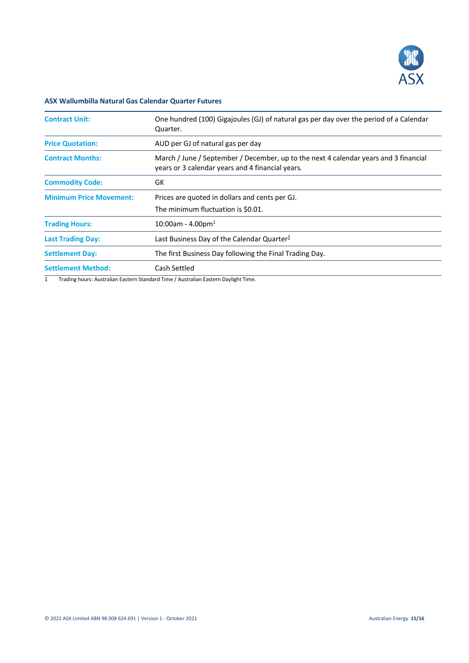

# **ASX Wallumbilla Natural Gas Calendar Quarter Futures**

| <b>Contract Unit:</b>          | One hundred (100) Gigajoules (GJ) of natural gas per day over the period of a Calendar<br>Quarter.                                       |
|--------------------------------|------------------------------------------------------------------------------------------------------------------------------------------|
| <b>Price Quotation:</b>        | AUD per GJ of natural gas per day                                                                                                        |
| <b>Contract Months:</b>        | March / June / September / December, up to the next 4 calendar years and 3 financial<br>years or 3 calendar years and 4 financial years. |
| <b>Commodity Code:</b>         | GK                                                                                                                                       |
| <b>Minimum Price Movement:</b> | Prices are quoted in dollars and cents per GJ.<br>The minimum fluctuation is \$0.01.                                                     |
| <b>Trading Hours:</b>          | $10:00$ am - 4.00pm <sup>1</sup>                                                                                                         |
| <b>Last Trading Day:</b>       | Last Business Day of the Calendar Quarter $1$                                                                                            |
| <b>Settlement Day:</b>         | The first Business Day following the Final Trading Day.                                                                                  |
| <b>Settlement Method:</b>      | Cash Settled                                                                                                                             |

1 Trading hours: Australian Eastern Standard Time / Australian Eastern Daylight Time.